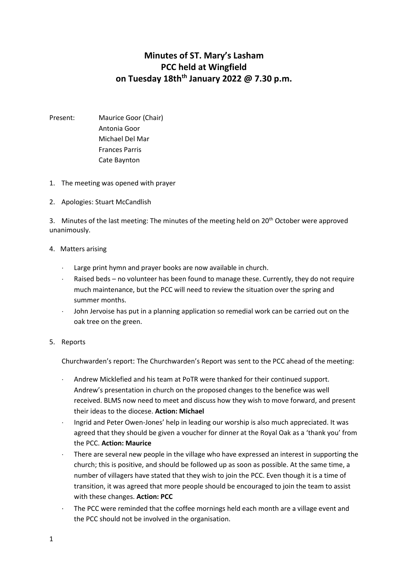## **Minutes of ST. Mary's Lasham PCC held at Wingfield on Tuesday 18thth January 2022 @ 7.30 p.m.**

- Present: Maurice Goor (Chair) Antonia Goor Michael Del Mar Frances Parris Cate Baynton
- 1. The meeting was opened with prayer
- 2. Apologies: Stuart McCandlish

3. Minutes of the last meeting: The minutes of the meeting held on 20<sup>th</sup> October were approved unanimously.

## 4. Matters arising

- Large print hymn and prayer books are now available in church.
- Raised beds no volunteer has been found to manage these. Currently, they do not require much maintenance, but the PCC will need to review the situation over the spring and summer months.
- John Jervoise has put in a planning application so remedial work can be carried out on the oak tree on the green.

## 5. Reports

Churchwarden's report: The Churchwarden's Report was sent to the PCC ahead of the meeting:

- Andrew Micklefied and his team at PoTR were thanked for their continued support. Andrew's presentation in church on the proposed changes to the benefice was well received. BLMS now need to meet and discuss how they wish to move forward, and present their ideas to the diocese. **Action: Michael**
- Ingrid and Peter Owen-Jones' help in leading our worship is also much appreciated. It was agreed that they should be given a voucher for dinner at the Royal Oak as a 'thank you' from the PCC. **Action: Maurice**
- There are several new people in the village who have expressed an interest in supporting the church; this is positive, and should be followed up as soon as possible. At the same time, a number of villagers have stated that they wish to join the PCC. Even though it is a time of transition, it was agreed that more people should be encouraged to join the team to assist with these changes. **Action: PCC**
- The PCC were reminded that the coffee mornings held each month are a village event and the PCC should not be involved in the organisation.